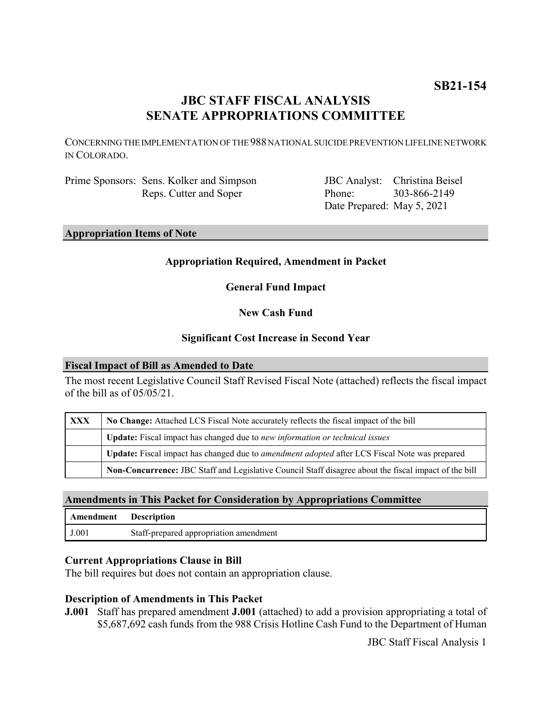# **JBC STAFF FISCAL ANALYSIS SENATE APPROPRIATIONS COMMITTEE**

CONCERNING THE IMPLEMENTATION OF THE 988 NATIONAL SUICIDE PREVENTION LIFELINE NETWORK IN COLORADO.

Prime Sponsors: Sens. Kolker and Simpson Reps. Cutter and Soper

JBC Analyst: Christina Beisel Phone: Date Prepared: May 5, 2021 303-866-2149

**Appropriation Items of Note**

## **Appropriation Required, Amendment in Packet**

**General Fund Impact**

**New Cash Fund**

#### **Significant Cost Increase in Second Year**

#### **Fiscal Impact of Bill as Amended to Date**

The most recent Legislative Council Staff Revised Fiscal Note (attached) reflects the fiscal impact of the bill as of 05/05/21.

| <b>XXX</b> | No Change: Attached LCS Fiscal Note accurately reflects the fiscal impact of the bill                 |
|------------|-------------------------------------------------------------------------------------------------------|
|            | <b>Update:</b> Fiscal impact has changed due to new information or technical issues                   |
|            | Update: Fiscal impact has changed due to <i>amendment adopted</i> after LCS Fiscal Note was prepared  |
|            | Non-Concurrence: JBC Staff and Legislative Council Staff disagree about the fiscal impact of the bill |

### **Amendments in This Packet for Consideration by Appropriations Committee**

| Amendment | <b>Description</b>                     |
|-----------|----------------------------------------|
| J.001     | Staff-prepared appropriation amendment |

### **Current Appropriations Clause in Bill**

The bill requires but does not contain an appropriation clause.

### **Description of Amendments in This Packet**

**J.001** Staff has prepared amendment **J.001** (attached) to add a provision appropriating a total of \$5,687,692 cash funds from the 988 Crisis Hotline Cash Fund to the Department of Human

JBC Staff Fiscal Analysis 1